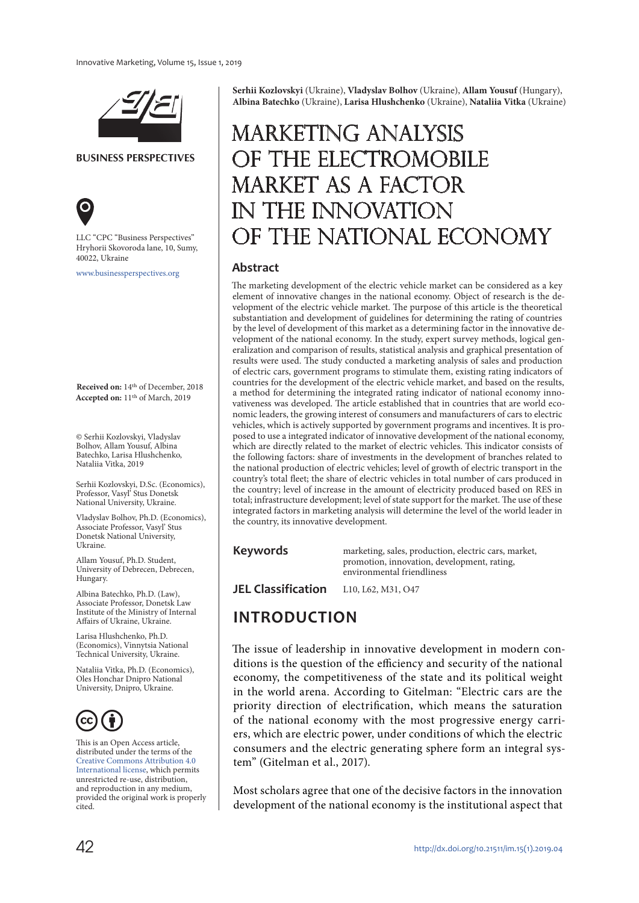

**BUSINESS PERSPECTIVES**



LLC "СPС "Business Perspectives" Hryhorii Skovoroda lane, 10, Sumy, 40022, Ukraine

[www.businessperspectives.org](http://www.businessperspectives.org)

**Received on:** 14th of December, 2018 **Accepted on:** 11th of March, 2019

© Serhii Kozlovskyi, Vladyslav Bolhov, Allam Yousuf, Albina Batechko, Larisa Hlushchenko, Nataliia Vitka, 2019

Serhii Kozlovskyi, D.Sc. (Economics), Professor, Vasyl' Stus Donetsk National University, Ukraine.

Vladyslav Bolhov, Ph.D. (Economics), Associate Professor, Vasyl' Stus Donetsk National University, Ukraine.

Allam Yousuf, Ph.D. Student, University of Debrecen, Debrecen, Hungary.

Albina Batechko, Ph.D. (Law), Associate Professor, Donetsk Law Institute of the Ministry of Internal Affairs of Ukraine, Ukraine.

Larisa Hlushchenko, Ph.D. (Economics), Vinnytsia National Technical University, Ukraine.

Nataliia Vitka, Ph.D. (Economics), Oles Honchar Dnipro National University, Dnipro, Ukraine.



This is an Open Access article, distributed under the terms of the [Creative Commons Attribution 4.0](https://creativecommons.org/licenses/by/4.0/)  [International license](https://creativecommons.org/licenses/by/4.0/), which permits unrestricted re-use, distribution, and reproduction in any medium, provided the original work is properly cited.

**Serhii Kozlovskyi** (Ukraine), **Vladyslav Bolhov** (Ukraine), **Allam Yousuf** (Hungary), **Albina Batechko** (Ukraine), **Larisa Hlushchenko** (Ukraine), **Nataliia Vitka** (Ukraine)

# Marketing analysis of the electromobile market as a factor in the innovation of the national economy

#### **Abstract**

The marketing development of the electric vehicle market can be considered as a key element of innovative changes in the national economy. Object of research is the development of the electric vehicle market. The purpose of this article is the theoretical substantiation and development of guidelines for determining the rating of countries by the level of development of this market as a determining factor in the innovative development of the national economy. In the study, expert survey methods, logical generalization and comparison of results, statistical analysis and graphical presentation of results were used. The study conducted a marketing analysis of sales and production of electric cars, government programs to stimulate them, existing rating indicators of countries for the development of the electric vehicle market, and based on the results, a method for determining the integrated rating indicator of national economy innovativeness was developed. The article established that in countries that are world economic leaders, the growing interest of consumers and manufacturers of cars to electric vehicles, which is actively supported by government programs and incentives. It is proposed to use a integrated indicator of innovative development of the national economy, which are directly related to the market of electric vehicles. This indicator consists of the following factors: share of investments in the development of branches related to the national production of electric vehicles; level of growth of electric transport in the country's total fleet; the share of electric vehicles in total number of cars produced in the country; level of increase in the amount of electricity produced based on RES in total; infrastructure development; level of state support for the market. The use of these integrated factors in marketing analysis will determine the level of the world leader in the country, its innovative development.

#### **Keywords**

marketing, sales, production, electric cars, market, promotion, innovation, development, rating, environmental friendliness

**JEL Classification** L10, L62, M31, O47

#### **INTRODUCTION**

The issue of leadership in innovative development in modern conditions is the question of the efficiency and security of the national economy, the competitiveness of the state and its political weight in the world arena. According to Gitelman: "Electric cars are the priority direction of electrification, which means the saturation of the national economy with the most progressive energy carriers, which are electric power, under conditions of which the electric consumers and the electric generating sphere form an integral system" (Gitelman et al., 2017).

Most scholars agree that one of the decisive factors in the innovation development of the national economy is the institutional aspect that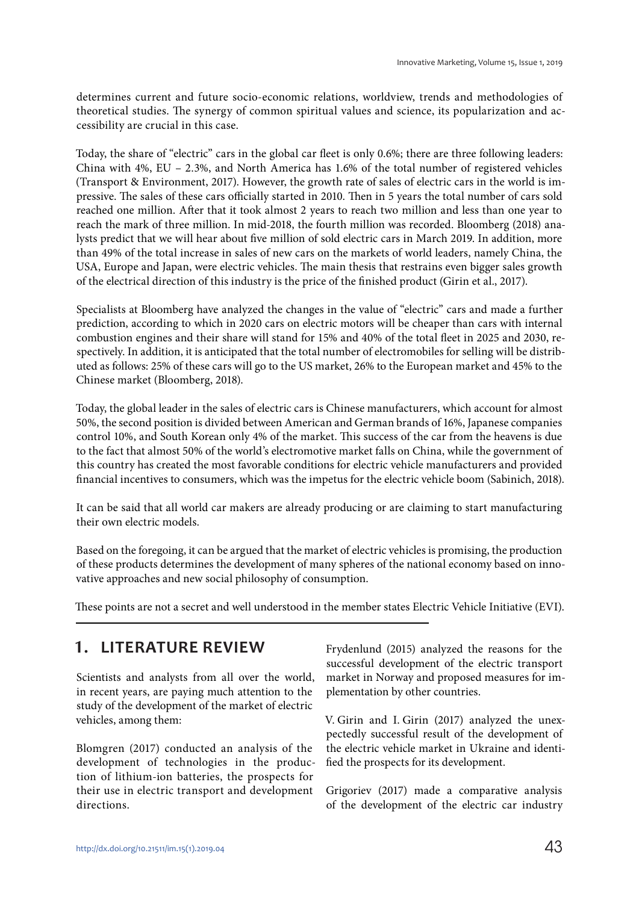determines current and future socio-economic relations, worldview, trends and methodologies of theoretical studies. The synergy of common spiritual values and science, its popularization and accessibility are crucial in this case.

Today, the share of "electric" cars in the global car fleet is only 0.6%; there are three following leaders: China with 4%, EU – 2.3%, and North America has 1.6% of the total number of registered vehicles (Transport & Environment, 2017). However, the growth rate of sales of electric cars in the world is impressive. The sales of these cars officially started in 2010. Then in 5 years the total number of cars sold reached one million. After that it took almost 2 years to reach two million and less than one year to reach the mark of three million. In mid-2018, the fourth million was recorded. Bloomberg (2018) analysts predict that we will hear about five million of sold electric cars in March 2019. In addition, more than 49% of the total increase in sales of new cars on the markets of world leaders, namely China, the USA, Europe and Japan, were electric vehicles. The main thesis that restrains even bigger sales growth of the electrical direction of this industry is the price of the finished product (Girin et al., 2017).

Specialists at Bloomberg have analyzed the changes in the value of "electric" cars and made a further prediction, according to which in 2020 cars on electric motors will be cheaper than cars with internal combustion engines and their share will stand for 15% and 40% of the total fleet in 2025 and 2030, respectively. In addition, it is anticipated that the total number of electromobiles for selling will be distributed as follows: 25% of these cars will go to the US market, 26% to the European market and 45% to the Chinese market (Bloomberg, 2018).

Today, the global leader in the sales of electric cars is Chinese manufacturers, which account for almost 50%, the second position is divided between American and German brands of 16%, Japanese companies control 10%, and South Korean only 4% of the market. This success of the car from the heavens is due to the fact that almost 50% of the world's electromotive market falls on China, while the government of this country has created the most favorable conditions for electric vehicle manufacturers and provided financial incentives to consumers, which was the impetus for the electric vehicle boom (Sabinich, 2018).

It can be said that all world car makers are already producing or are claiming to start manufacturing their own electric models.

Based on the foregoing, it can be argued that the market of electric vehicles is promising, the production of these products determines the development of many spheres of the national economy based on innovative approaches and new social philosophy of consumption.

These points are not a secret and well understood in the member states Electric Vehicle Initiative (EVI).

#### **1. LITERATURE REVIEW**

Scientists and analysts from all over the world, in recent years, are paying much attention to the study of the development of the market of electric vehicles, among them:

Blomgren (2017) conducted an analysis of the development of technologies in the production of lithium-ion batteries, the prospects for their use in electric transport and development directions.

Frydenlund (2015) analyzed the reasons for the successful development of the electric transport market in Norway and proposed measures for implementation by other countries.

V. Girin and I. Girin (2017) analyzed the unexpectedly successful result of the development of the electric vehicle market in Ukraine and identified the prospects for its development.

Grigoriev (2017) made a comparative analysis of the development of the electric car industry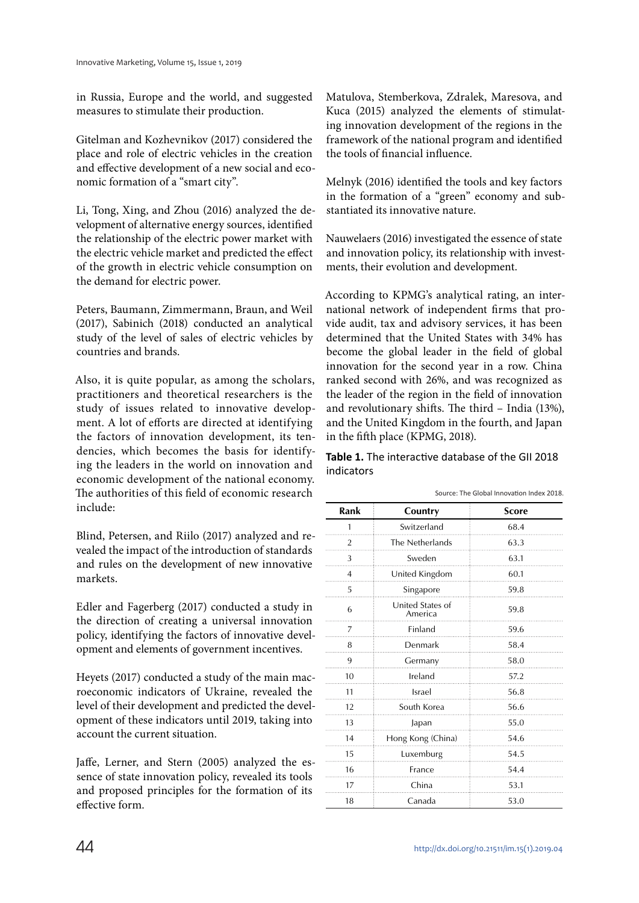in Russia, Europe and the world, and suggested measures to stimulate their production.

Gitelman and Kozhevnikov (2017) considered the place and role of electric vehicles in the creation and effective development of a new social and economic formation of a "smart city".

Li, Tong, Xing, and Zhou (2016) analyzed the development of alternative energy sources, identified the relationship of the electric power market with the electric vehicle market and predicted the effect of the growth in electric vehicle consumption on the demand for electric power.

Peters, Baumann, Zimmermann, Braun, and Weil (2017), Sabinich (2018) conducted an analytical study of the level of sales of electric vehicles by countries and brands.

Also, it is quite popular, as among the scholars, practitioners and theoretical researchers is the study of issues related to innovative development. A lot of efforts are directed at identifying the factors of innovation development, its tendencies, which becomes the basis for identifying the leaders in the world on innovation and economic development of the national economy. The authorities of this field of economic research include:

Blind, Petersen, and Riilo (2017) analyzed and revealed the impact of the introduction of standards and rules on the development of new innovative markets.

Edler and Fagerberg (2017) conducted a study in the direction of creating a universal innovation policy, identifying the factors of innovative development and elements of government incentives.

Heyets (2017) conducted a study of the main macroeconomic indicators of Ukraine, revealed the level of their development and predicted the development of these indicators until 2019, taking into account the current situation.

Jaffe, Lerner, and Stern (2005) analyzed the essence of state innovation policy, revealed its tools and proposed principles for the formation of its effective form.

Matulova, Stemberkova, Zdralek, Maresova, and Kuca (2015) analyzed the elements of stimulating innovation development of the regions in the framework of the national program and identified the tools of financial influence.

Melnyk (2016) identified the tools and key factors in the formation of a "green" economy and substantiated its innovative nature.

Nauwelaers (2016) investigated the essence of state and innovation policy, its relationship with investments, their evolution and development.

According to KPMG's analytical rating, an international network of independent firms that provide audit, tax and advisory services, it has been determined that the United States with 34% has become the global leader in the field of global innovation for the second year in a row. China ranked second with 26%, and was recognized as the leader of the region in the field of innovation and revolutionary shifts. The third – India (13%), and the United Kingdom in the fourth, and Japan in the fifth place (KPMG, 2018).

**Table 1.** The interactive database of the GII 2018 indicators

|                | Sudice. The Global Influential Index 2016. |              |  |  |  |  |
|----------------|--------------------------------------------|--------------|--|--|--|--|
| Rank           | Country                                    | <b>Score</b> |  |  |  |  |
| 1              | Switzerland                                | 68.4         |  |  |  |  |
| $\overline{2}$ | The Netherlands                            | 63.3         |  |  |  |  |
| 3              | Sweden                                     | 63.1         |  |  |  |  |
| $\overline{4}$ | United Kingdom                             | 60.1         |  |  |  |  |
| 5              | Singapore                                  | 59.8         |  |  |  |  |
| 6              | United States of<br>America                | 59.8         |  |  |  |  |
| 7              | Finland                                    | 59.6         |  |  |  |  |
| 8              | Denmark                                    | 58.4         |  |  |  |  |
| 9              | Germany                                    | 58.0         |  |  |  |  |
| 10             | Ireland                                    | 57.2         |  |  |  |  |
| 11             | Israel                                     | 56.8         |  |  |  |  |
| 12             | South Korea                                | 56.6         |  |  |  |  |
| 13             | Japan                                      | 55.0         |  |  |  |  |
| 14             | Hong Kong (China)                          | 54.6         |  |  |  |  |
| 15             | Luxemburg                                  | 54.5         |  |  |  |  |
| 16             | France                                     | 54.4         |  |  |  |  |
| 17             | China                                      | 53.1         |  |  |  |  |
| 18             | Canada                                     | 53.0         |  |  |  |  |

Source: The Global Innovation Index 2018.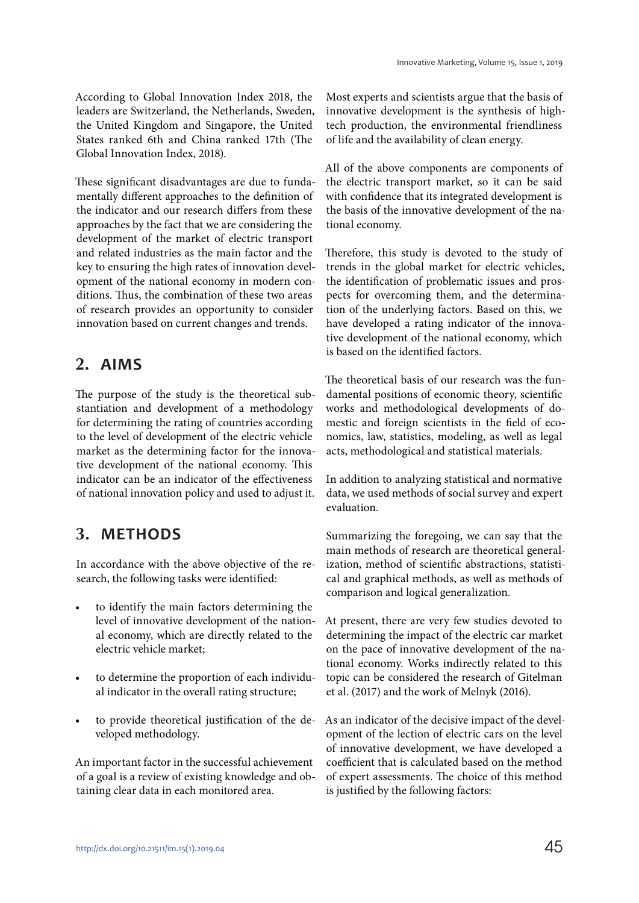According to Global Innovation Index 2018, the leaders are Switzerland, the Netherlands, Sweden, the United Kingdom and Singapore, the United States ranked 6th and China ranked 17th (The Global Innovation Index, 2018).

These significant disadvantages are due to fundamentally different approaches to the definition of the indicator and our research differs from these approaches by the fact that we are considering the development of the market of electric transport and related industries as the main factor and the key to ensuring the high rates of innovation development of the national economy in modern conditions. Thus, the combination of these two areas of research provides an opportunity to consider innovation based on current changes and trends.

### **2. AIMS**

The purpose of the study is the theoretical substantiation and development of a methodology for determining the rating of countries according to the level of development of the electric vehicle market as the determining factor for the innovative development of the national economy. This indicator can be an indicator of the effectiveness of national innovation policy and used to adjust it.

## **3. METHODS**

In accordance with the above objective of the research, the following tasks were identified:

- to identify the main factors determining the level of innovative development of the national economy, which are directly related to the electric vehicle market;
- to determine the proportion of each individual indicator in the overall rating structure;
- to provide theoretical justification of the developed methodology.

An important factor in the successful achievement of a goal is a review of existing knowledge and obtaining clear data in each monitored area.

Most experts and scientists argue that the basis of innovative development is the synthesis of hightech production, the environmental friendliness of life and the availability of clean energy.

All of the above components are components of the electric transport market, so it can be said with confidence that its integrated development is the basis of the innovative development of the national economy.

Therefore, this study is devoted to the study of trends in the global market for electric vehicles, the identification of problematic issues and prospects for overcoming them, and the determination of the underlying factors. Based on this, we have developed a rating indicator of the innovative development of the national economy, which is based on the identified factors.

The theoretical basis of our research was the fundamental positions of economic theory, scientific works and methodological developments of domestic and foreign scientists in the field of economics, law, statistics, modeling, as well as legal acts, methodological and statistical materials.

In addition to analyzing statistical and normative data, we used methods of social survey and expert evaluation.

Summarizing the foregoing, we can say that the main methods of research are theoretical generalization, method of scientific abstractions, statistical and graphical methods, as well as methods of comparison and logical generalization.

At present, there are very few studies devoted to determining the impact of the electric car market on the pace of innovative development of the national economy. Works indirectly related to this topic can be considered the research of Gitelman et al. (2017) and the work of Melnyk (2016).

As an indicator of the decisive impact of the development of the lection of electric cars on the level of innovative development, we have developed a coefficient that is calculated based on the method of expert assessments. The choice of this method is justified by the following factors: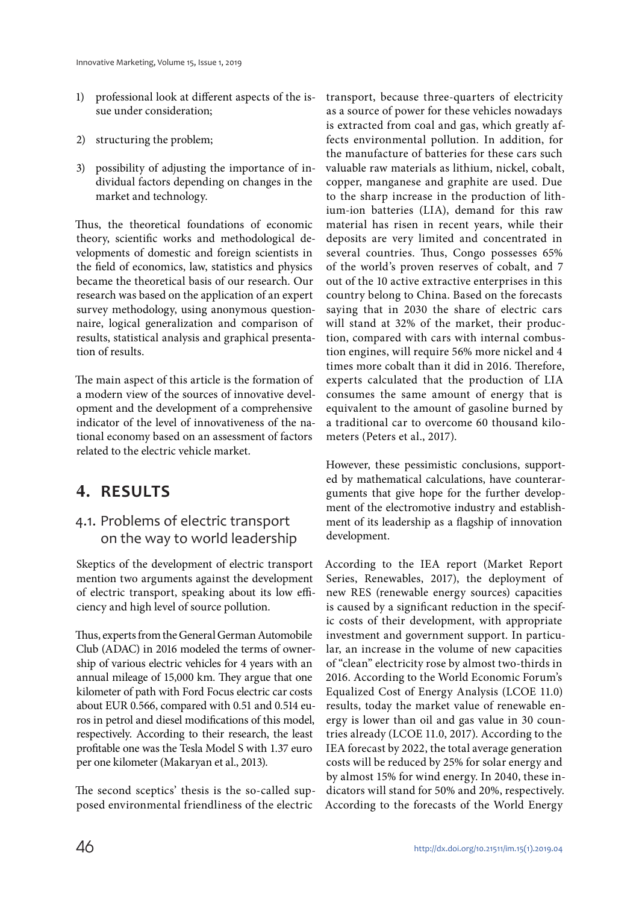- 1) professional look at different aspects of the issue under consideration;
- 2) structuring the problem;
- 3) possibility of adjusting the importance of individual factors depending on changes in the market and technology.

Thus, the theoretical foundations of economic theory, scientific works and methodological developments of domestic and foreign scientists in the field of economics, law, statistics and physics became the theoretical basis of our research. Our research was based on the application of an expert survey methodology, using anonymous questionnaire, logical generalization and comparison of results, statistical analysis and graphical presentation of results.

The main aspect of this article is the formation of a modern view of the sources of innovative development and the development of a comprehensive indicator of the level of innovativeness of the national economy based on an assessment of factors related to the electric vehicle market.

# **4. RESULTS**

#### 4.1. Problems of electric transport on the way to world leadership

Skeptics of the development of electric transport mention two arguments against the development of electric transport, speaking about its low efficiency and high level of source pollution.

Thus, experts from the General German Automobile Club (ADAC) in 2016 modeled the terms of ownership of various electric vehicles for 4 years with an annual mileage of 15,000 km. They argue that one kilometer of path with Ford Focus electric car costs about EUR 0.566, compared with 0.51 and 0.514 euros in petrol and diesel modifications of this model, respectively. According to their research, the least profitable one was the Tesla Model S with 1.37 euro per one kilometer (Makaryan et al., 2013).

The second sceptics' thesis is the so-called supposed environmental friendliness of the electric

transport, because three-quarters of electricity as a source of power for these vehicles nowadays is extracted from coal and gas, which greatly affects environmental pollution. In addition, for the manufacture of batteries for these cars such valuable raw materials as lithium, nickel, cobalt, copper, manganese and graphite are used. Due to the sharp increase in the production of lithium-ion batteries (LIA), demand for this raw material has risen in recent years, while their deposits are very limited and concentrated in several countries. Thus, Congo possesses 65% of the world's proven reserves of cobalt, and 7 out of the 10 active extractive enterprises in this country belong to China. Based on the forecasts saying that in 2030 the share of electric cars will stand at 32% of the market, their production, compared with cars with internal combustion engines, will require 56% more nickel and 4 times more cobalt than it did in 2016. Therefore, experts calculated that the production of LIA consumes the same amount of energy that is equivalent to the amount of gasoline burned by a traditional car to overcome 60 thousand kilometers (Peters et al., 2017).

However, these pessimistic conclusions, supported by mathematical calculations, have counterarguments that give hope for the further development of the electromotive industry and establishment of its leadership as a flagship of innovation development.

According to the IEA report (Market Report Series, Renewables, 2017), the deployment of new RES (renewable energy sources) capacities is caused by a significant reduction in the specific costs of their development, with appropriate investment and government support. In particular, an increase in the volume of new capacities of "clean" electricity rose by almost two-thirds in 2016. According to the World Economic Forum's Equalized Cost of Energy Analysis (LCOE 11.0) results, today the market value of renewable energy is lower than oil and gas value in 30 countries already (LCOE 11.0, 2017). According to the IEA forecast by 2022, the total average generation costs will be reduced by 25% for solar energy and by almost 15% for wind energy. In 2040, these indicators will stand for 50% and 20%, respectively. According to the forecasts of the World Energy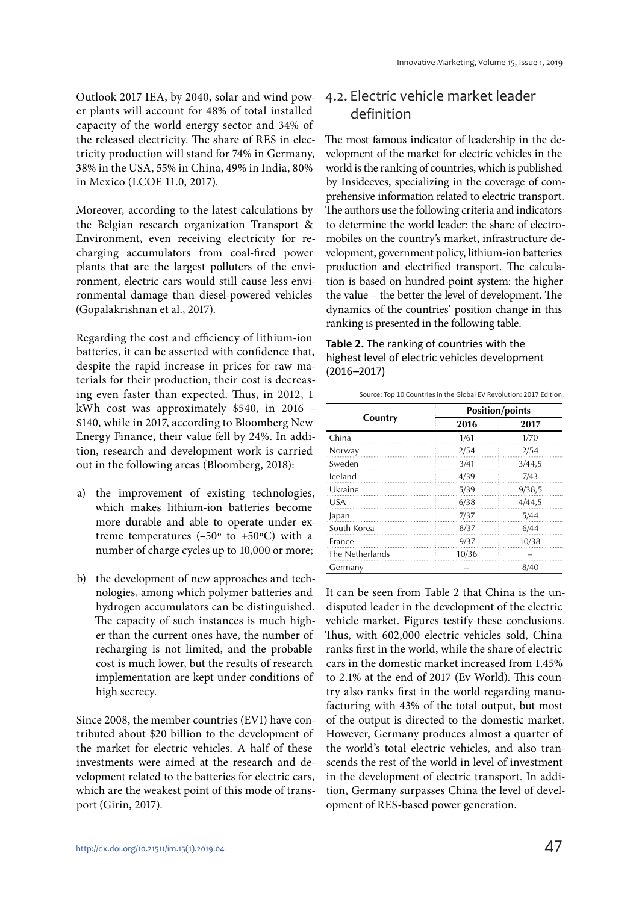Outlook 2017 IEA, by 2040, solar and wind power plants will account for 48% of total installed capacity of the world energy sector and 34% of the released electricity. The share of RES in electricity production will stand for 74% in Germany, 38% in the USA, 55% in China, 49% in India, 80% in Mexico (LCOE 11.0, 2017).

Moreover, according to the latest calculations by the Belgian research organization Transport & Environment, even receiving electricity for recharging accumulators from coal-fired power plants that are the largest polluters of the environment, electric cars would still cause less environmental damage than diesel-powered vehicles (Gopalakrishnan et al., 2017).

Regarding the cost and efficiency of lithium-ion batteries, it can be asserted with confidence that, despite the rapid increase in prices for raw materials for their production, their cost is decreasing even faster than expected. Thus, in 2012, 1 kWh cost was approximately \$540, in 2016 – \$140, while in 2017, according to Bloomberg New Energy Finance, their value fell by 24%. In addition, research and development work is carried out in the following areas (Bloomberg, 2018):

- a) the improvement of existing technologies, which makes lithium-ion batteries become more durable and able to operate under extreme temperatures (-50 $\textdegree$  to +50 $\textdegree$ C) with a number of charge cycles up to 10,000 or more;
- b) the development of new approaches and technologies, among which polymer batteries and hydrogen accumulators can be distinguished. The capacity of such instances is much higher than the current ones have, the number of recharging is not limited, and the probable cost is much lower, but the results of research implementation are kept under conditions of high secrecy.

Since 2008, the member countries (EVI) have contributed about \$20 billion to the development of the market for electric vehicles. A half of these investments were aimed at the research and development related to the batteries for electric cars, which are the weakest point of this mode of transport (Girin, 2017).

#### 4.2. Electric vehicle market leader definition

The most famous indicator of leadership in the development of the market for electric vehicles in the world is the ranking of countries, which is published by Insideeves, specializing in the coverage of comprehensive information related to electric transport. The authors use the following criteria and indicators to determine the world leader: the share of electromobiles on the country's market, infrastructure development, government policy, lithium-ion batteries production and electrified transport. The calculation is based on hundred-point system: the higher the value – the better the level of development. The dynamics of the countries' position change in this ranking is presented in the following table.

| Table 2. The ranking of countries with the     |
|------------------------------------------------|
| highest level of electric vehicles development |
| $(2016 - 2017)$                                |

| Source: Top 10 Countries in the Global EV Revolution: 2017 Edition. |                        |        |  |  |  |
|---------------------------------------------------------------------|------------------------|--------|--|--|--|
|                                                                     | <b>Position/points</b> |        |  |  |  |
| Country                                                             | 2016                   | 2017   |  |  |  |
| China                                                               | 1/61                   | 1/70   |  |  |  |
| Norway                                                              | 2/54                   | 2/54   |  |  |  |
| Sweden                                                              | 3/41                   | 3/44,5 |  |  |  |
| Iceland                                                             | 4/39                   | 7/43   |  |  |  |
| Ukraine                                                             | 5/39                   | 9/38,5 |  |  |  |
| USA                                                                 | 6/38                   | 4/44,5 |  |  |  |
| Japan                                                               | 7/37                   | 5/44   |  |  |  |
| South Korea                                                         | 8/37                   | 6/44   |  |  |  |
| France                                                              | 9/37                   | 10/38  |  |  |  |
| The Netherlands                                                     | 10/36                  |        |  |  |  |
| Germany                                                             |                        | 8/40   |  |  |  |

It can be seen from Table 2 that China is the undisputed leader in the development of the electric vehicle market. Figures testify these conclusions. Thus, with 602,000 electric vehicles sold, China ranks first in the world, while the share of electric cars in the domestic market increased from 1.45% to 2.1% at the end of 2017 (Ev World). This country also ranks first in the world regarding manufacturing with 43% of the total output, but most of the output is directed to the domestic market. However, Germany produces almost a quarter of the world's total electric vehicles, and also transcends the rest of the world in level of investment in the development of electric transport. In addition, Germany surpasses China the level of development of RES-based power generation.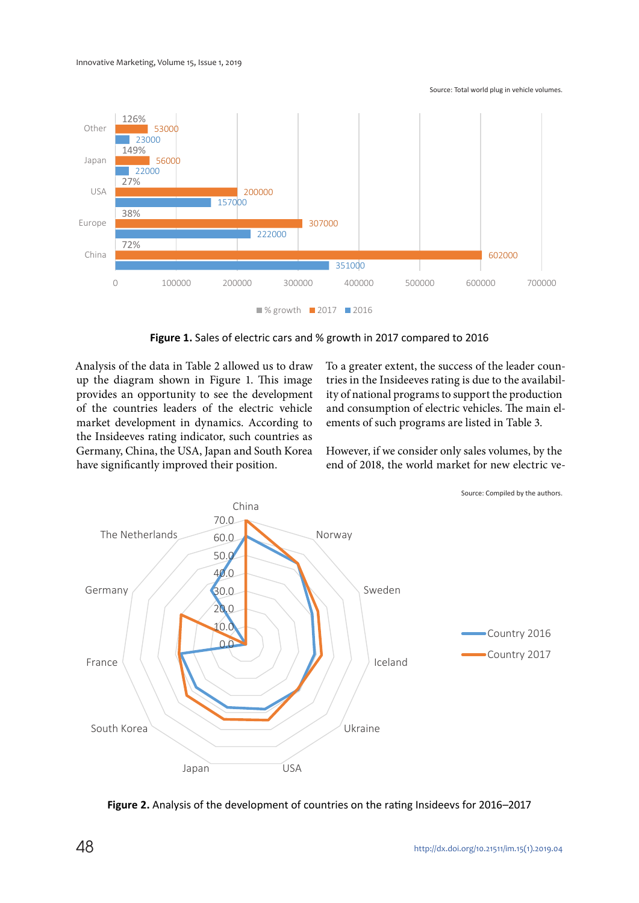Source: Total world plug in vehicle volumes.



**Figure 1.** Sales of electric cars and % growth in 2017 compared to 2016

Analysis of the data in Table 2 allowed us to draw up the diagram shown in Figure 1. This image provides an opportunity to see the development of the countries leaders of the electric vehicle market development in dynamics. According to the Insideeves rating indicator, such countries as Germany, China, the USA, Japan and South Korea have significantly improved their position.

To a greater extent, the success of the leader countries in the Insideeves rating is due to the availability of national programs to support the production and consumption of electric vehicles. The main elements of such programs are listed in Table 3.

However, if we consider only sales volumes, by the end of 2018, the world market for new electric ve-



**Figure 2.** Analysis of the development of countries on the rating Insideevs for 2016–2017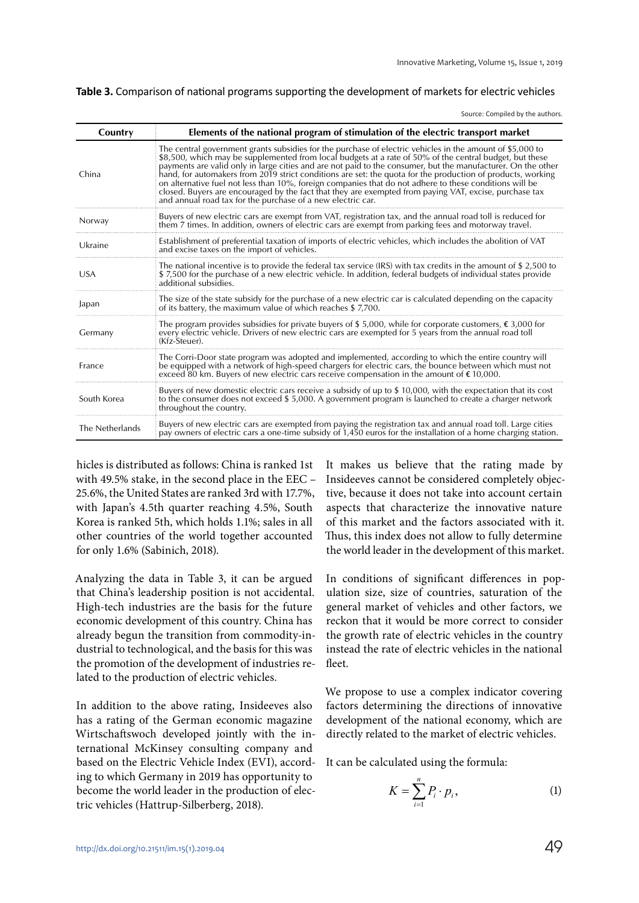|  |  |  |  |  |  |  | Table 3. Comparison of national programs supporting the development of markets for electric vehicles |
|--|--|--|--|--|--|--|------------------------------------------------------------------------------------------------------|
|--|--|--|--|--|--|--|------------------------------------------------------------------------------------------------------|

Source: Compiled by the authors.

| Country         | Elements of the national program of stimulation of the electric transport market                                                                                                                                                                                                                                                                                                                                                                                                                                                                                                                                                                                                                                                        |
|-----------------|-----------------------------------------------------------------------------------------------------------------------------------------------------------------------------------------------------------------------------------------------------------------------------------------------------------------------------------------------------------------------------------------------------------------------------------------------------------------------------------------------------------------------------------------------------------------------------------------------------------------------------------------------------------------------------------------------------------------------------------------|
| China           | The central government grants subsidies for the purchase of electric vehicles in the amount of \$5,000 to<br>\$8,500, which may be supplemented from local budgets at a rate of 50% of the central budget, but these<br>payments are valid only in large cities and are not paid to the consumer, but the manufacturer. On the other<br>hand, for automakers from 2019 strict conditions are set: the quota for the production of products, working<br>on alternative fuel not less than 10%, foreign companies that do not adhere to these conditions will be<br>closed. Buyers are encouraged by the fact that they are exempted from paying VAT, excise, purchase tax<br>and annual road tax for the purchase of a new electric car. |
| Norway          | Buyers of new electric cars are exempt from VAT, registration tax, and the annual road toll is reduced for<br>them 7 times. In addition, owners of electric cars are exempt from parking fees and motorway travel.                                                                                                                                                                                                                                                                                                                                                                                                                                                                                                                      |
| Ukraine         | Establishment of preferential taxation of imports of electric vehicles, which includes the abolition of VAT<br>and excise taxes on the import of vehicles.                                                                                                                                                                                                                                                                                                                                                                                                                                                                                                                                                                              |
| <b>USA</b>      | The national incentive is to provide the federal tax service (IRS) with tax credits in the amount of \$2,500 to<br>\$7,500 for the purchase of a new electric vehicle. In addition, federal budgets of individual states provide<br>additional subsidies.                                                                                                                                                                                                                                                                                                                                                                                                                                                                               |
| Japan           | The size of the state subsidy for the purchase of a new electric car is calculated depending on the capacity<br>of its battery, the maximum value of which reaches \$7,700.                                                                                                                                                                                                                                                                                                                                                                                                                                                                                                                                                             |
| Germany         | The program provides subsidies for private buyers of \$5,000, while for corporate customers, $\xi$ 3,000 for<br>every electric vehicle. Drivers of new electric cars are exempted for 5 years from the annual road toll<br>(Kfz-Steuer).                                                                                                                                                                                                                                                                                                                                                                                                                                                                                                |
| France          | The Corri-Door state program was adopted and implemented, according to which the entire country will<br>be equipped with a network of high-speed chargers for electric cars, the bounce between which must not<br>exceed 80 km. Buyers of new electric cars receive compensation in the amount of $\epsilon$ 10,000.                                                                                                                                                                                                                                                                                                                                                                                                                    |
| South Korea     | Buyers of new domestic electric cars receive a subsidy of up to \$10,000, with the expectation that its cost<br>to the consumer does not exceed \$5,000. A government program is launched to create a charger network<br>throughout the country.                                                                                                                                                                                                                                                                                                                                                                                                                                                                                        |
| The Netherlands | Buyers of new electric cars are exempted from paying the registration tax and annual road toll. Large cities<br>pay owners of electric cars a one-time subsidy of 1,450 euros for the installation of a home charging station.                                                                                                                                                                                                                                                                                                                                                                                                                                                                                                          |

hicles is distributed as follows: China is ranked 1st with 49.5% stake, in the second place in the EEC – 25.6%, the United States are ranked 3rd with 17.7%, with Japan's 4.5th quarter reaching 4.5%, South Korea is ranked 5th, which holds 1.1%; sales in all other countries of the world together accounted for only 1.6% (Sabinich, 2018).

Analyzing the data in Table 3, it can be argued that China's leadership position is not accidental. High-tech industries are the basis for the future economic development of this country. China has already begun the transition from commodity-industrial to technological, and the basis for this was the promotion of the development of industries related to the production of electric vehicles.

In addition to the above rating, Insideeves also has a rating of the German economic magazine Wirtschaftswoch developed jointly with the international McKinsey consulting company and based on the Electric Vehicle Index (EVI), according to which Germany in 2019 has opportunity to become the world leader in the production of electric vehicles (Hattrup-Silberberg, 2018).

It makes us believe that the rating made by Insideeves cannot be considered completely objective, because it does not take into account certain aspects that characterize the innovative nature of this market and the factors associated with it. Thus, this index does not allow to fully determine the world leader in the development of this market.

In conditions of significant differences in population size, size of countries, saturation of the general market of vehicles and other factors, we reckon that it would be more correct to consider the growth rate of electric vehicles in the country instead the rate of electric vehicles in the national fleet.

We propose to use a complex indicator covering factors determining the directions of innovative development of the national economy, which are directly related to the market of electric vehicles.

It can be calculated using the formula:

$$
K = \sum_{i=1}^{n} P_i \cdot p_i, \qquad (1)
$$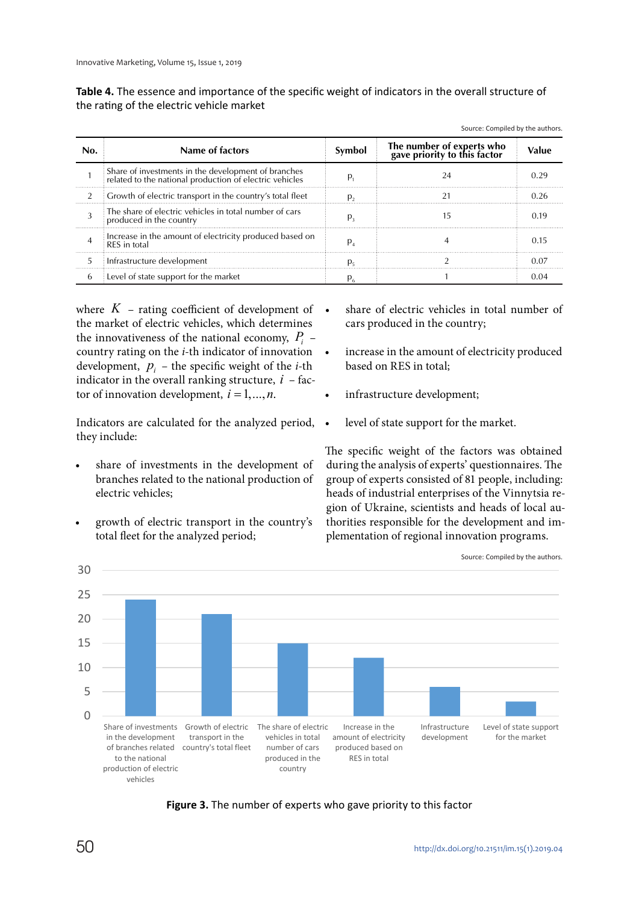| Table 4. The essence and importance of the specific weight of indicators in the overall structure of |
|------------------------------------------------------------------------------------------------------|
| the rating of the electric vehicle market                                                            |

| Name of factors                                                                                                | Symbol | The number of experts who<br>gave priority to this factor |      |
|----------------------------------------------------------------------------------------------------------------|--------|-----------------------------------------------------------|------|
| Share of investments in the development of branches<br>related to the national production of electric vehicles |        |                                                           |      |
| : Growth of electric transport in the country's total fleet                                                    |        |                                                           | በ 26 |
| The share of electric vehicles in total number of cars<br>produced in the country                              |        |                                                           |      |
| Increase in the amount of electricity produced based on<br><b>RES</b> in total                                 |        |                                                           |      |
| : Infrastructure development                                                                                   |        |                                                           |      |
| Level of state support for the market                                                                          |        |                                                           |      |

where  $K$  – rating coefficient of development of  $\bullet$ the market of electric vehicles, which determines the innovativeness of the national economy,  $P_i$  – country rating on the *i*-th indicator of innovation development,  $p_i$  – the specific weight of the *i*-th indicator in the overall ranking structure,  $i$  – factor of innovation development,  $i = 1, \ldots, n$ .

Indicators are calculated for the analyzed period, they include:

- share of investments in the development of branches related to the national production of electric vehicles;
- growth of electric transport in the country's total fleet for the analyzed period;

share of electric vehicles in total number of cars produced in the country;

Source: Compiled by the authors.

- increase in the amount of electricity produced based on RES in total;
- infrastructure development;
- level of state support for the market.

The specific weight of the factors was obtained during the analysis of experts' questionnaires. The group of experts consisted of 81 people, including: heads of industrial enterprises of the Vinnytsia region of Ukraine, scientists and heads of local authorities responsible for the development and implementation of regional innovation programs.



**Figure 3.** The number of experts who gave priority to this factor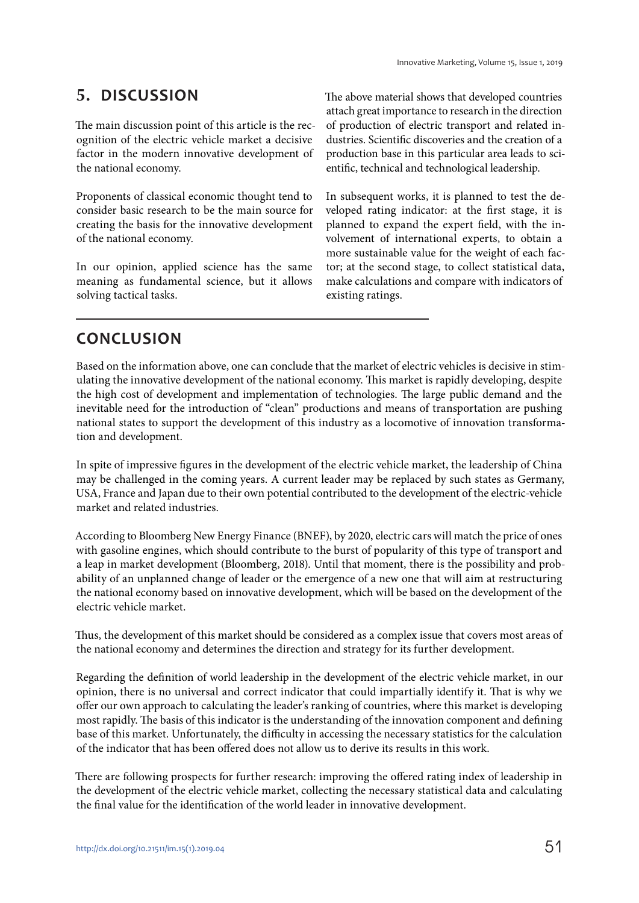# **5. DISCUSSION**

The main discussion point of this article is the recognition of the electric vehicle market a decisive factor in the modern innovative development of the national economy.

Proponents of classical economic thought tend to consider basic research to be the main source for creating the basis for the innovative development of the national economy.

In our opinion, applied science has the same meaning as fundamental science, but it allows solving tactical tasks.

The above material shows that developed countries attach great importance to research in the direction of production of electric transport and related industries. Scientific discoveries and the creation of a production base in this particular area leads to scientific, technical and technological leadership.

In subsequent works, it is planned to test the developed rating indicator: at the first stage, it is planned to expand the expert field, with the involvement of international experts, to obtain a more sustainable value for the weight of each factor; at the second stage, to collect statistical data, make calculations and compare with indicators of existing ratings.

# **CONCLUSION**

Based on the information above, one can conclude that the market of electric vehicles is decisive in stimulating the innovative development of the national economy. This market is rapidly developing, despite the high cost of development and implementation of technologies. The large public demand and the inevitable need for the introduction of "clean" productions and means of transportation are pushing national states to support the development of this industry as a locomotive of innovation transformation and development.

In spite of impressive figures in the development of the electric vehicle market, the leadership of China may be challenged in the coming years. A current leader may be replaced by such states as Germany, USA, France and Japan due to their own potential contributed to the development of the electric-vehicle market and related industries.

According to Bloomberg New Energy Finance (BNEF), by 2020, electric cars will match the price of ones with gasoline engines, which should contribute to the burst of popularity of this type of transport and a leap in market development (Bloomberg, 2018). Until that moment, there is the possibility and probability of an unplanned change of leader or the emergence of a new one that will aim at restructuring the national economy based on innovative development, which will be based on the development of the electric vehicle market.

Thus, the development of this market should be considered as a complex issue that covers most areas of the national economy and determines the direction and strategy for its further development.

Regarding the definition of world leadership in the development of the electric vehicle market, in our opinion, there is no universal and correct indicator that could impartially identify it. That is why we offer our own approach to calculating the leader's ranking of countries, where this market is developing most rapidly. The basis of this indicator is the understanding of the innovation component and defining base of this market. Unfortunately, the difficulty in accessing the necessary statistics for the calculation of the indicator that has been offered does not allow us to derive its results in this work.

There are following prospects for further research: improving the offered rating index of leadership in the development of the electric vehicle market, collecting the necessary statistical data and calculating the final value for the identification of the world leader in innovative development.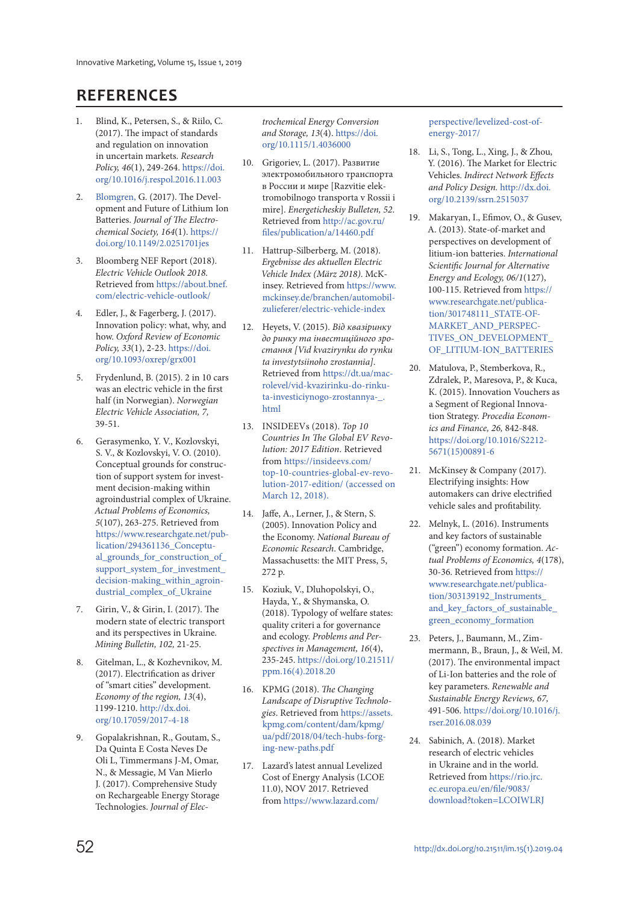### **REFERENCES**

- 1. Blind, K., Petersen, S., & Riilo, C. (2017). The impact of standards and regulation on innovation in uncertain markets. *Research Policy, 46*(1), 249-264. [https://doi.](https://doi.org/10.1016/j.respol.2016.11.003) [org/10.1016/j.respol.2016.11.003](https://doi.org/10.1016/j.respol.2016.11.003)
- 2. [Blomgren,](http://jes.ecsdl.org/search?author1=George+E.+Blomgren&sortspec=date&submit=Submit) G. (2017). The Development and Future of Lithium Ion Batteries. *Journal of The Electrochemical Society, 164*(1). [https://](https://doi.org/10.1149/2.0251701jes) [doi.org/10.1149/2.0251701jes](https://doi.org/10.1149/2.0251701jes)
- 3. Bloomberg NEF Report (2018). *Electric Vehicle Outlook 2018*. Retrieved from [https://about.bnef.](https://about.bnef.com/electric-vehicle-outlook/) [com/electric-vehicle-outlook/](https://about.bnef.com/electric-vehicle-outlook/)
- 4. Edler, J., & Fagerberg, J. (2017). Innovation policy: what, why, and how. *Oxford Review of Economic Policy, 33*(1), 2-23. [https://doi.](https://doi.org/10.1093/oxrep/grx001) [org/10.1093/oxrep/grx001](https://doi.org/10.1093/oxrep/grx001)
- 5. Frydenlund, B. (2015). 2 in 10 cars was an electric vehicle in the first half (in Norwegian). *Norwegian Electric Vehicle Association, 7,* 39-51.
- 6. Gerasymenko, Y. V., Kozlovskyi, S. V., & Kozlovskyi, V. O. (2010). Conceptual grounds for construction of support system for investment decision-making within agroindustrial complex of Ukraine. *Actual Problems of Economics, 5*(107), 263-275. Retrieved from [https://www.researchgate.net/pub](https://www.researchgate.net/publication/294361136_Conceptual_grounds_for_construction_of_support_system_for_investment_decision-making_within_agroindustrial_complex_of_Ukraine)[lication/294361136\\_Conceptu](https://www.researchgate.net/publication/294361136_Conceptual_grounds_for_construction_of_support_system_for_investment_decision-making_within_agroindustrial_complex_of_Ukraine)al\_grounds\_for\_construction\_of [support\\_system\\_for\\_investment\\_](https://www.researchgate.net/publication/294361136_Conceptual_grounds_for_construction_of_support_system_for_investment_decision-making_within_agroindustrial_complex_of_Ukraine) [decision-making\\_within\\_agroin](https://www.researchgate.net/publication/294361136_Conceptual_grounds_for_construction_of_support_system_for_investment_decision-making_within_agroindustrial_complex_of_Ukraine)[dustrial\\_complex\\_of\\_Ukraine](https://www.researchgate.net/publication/294361136_Conceptual_grounds_for_construction_of_support_system_for_investment_decision-making_within_agroindustrial_complex_of_Ukraine)
- 7. Girin, V., & Girin, I. (2017). The modern state of electric transport and its perspectives in Ukraine. *Mining Bulletin, 102,* 21-25.
- 8. Gitelman, L., & Kozhevnikov, M. (2017). Electrification as driver of "smart cities" development. *Economy of the region, 13*(4), 1199-1210. [http://dx.doi.](http://dx.doi.org/10.17059/2017-4-18) [org/10.17059/2017-4-18](http://dx.doi.org/10.17059/2017-4-18)
- 9. Gopalakrishnan, R., Goutam, S., Da Quinta E Costa Neves De Oli L, Timmermans J-M, Omar, N., & Messagie, M Van Mierlo J. (2017). Comprehensive Study on Rechargeable Energy Storage Technologies. *Journal of Elec-*

*trochemical Energy Conversion and Storage, 13*(4). [https://doi.](https://doi.org/10.1115/1.4036000) [org/10.1115/1.4036000](https://doi.org/10.1115/1.4036000)

- 10. Grigoriev, L. (2017). Развитие электромобильного транспорта в России и мире [Razvitie elektromobilnogo transporta v Rossii i mire]. *Energeticheskiy Bulleten, 52*. Retrieved from [http://ac.gov.ru/](http://ac.gov.ru/files/publication/a/14460.pdf) [files/publication/a/14460.pdf](http://ac.gov.ru/files/publication/a/14460.pdf)
- 11. Hattrup-Silberberg, M. (2018). *Ergebnisse des aktuellen Electric Vehicle Index (März 2018)*. McKinsey. Retrieved from [https://www.](https://www.mckinsey.de/branchen/automobil-zulieferer/electric-vehicle-index) [mckinsey.de/branchen/automobil](https://www.mckinsey.de/branchen/automobil-zulieferer/electric-vehicle-index)[zulieferer/electric-vehicle-index](https://www.mckinsey.de/branchen/automobil-zulieferer/electric-vehicle-index)
- 12. Heyets, V. (2015). *Від квазіринку до ринку та інвестиційного зростання [Vid kvazirynku do rynku ta investytsiinoho zrostannia]*. Retrieved from [https://dt.ua/mac](https://dt.ua/macrolevel/vid-kvazirinku-do-rinku-ta-investiciynogo-zrostannya-_.html)[rolevel/vid-kvazirinku-do-rinku](https://dt.ua/macrolevel/vid-kvazirinku-do-rinku-ta-investiciynogo-zrostannya-_.html)[ta-investiciynogo-zrostannya-\\_.](https://dt.ua/macrolevel/vid-kvazirinku-do-rinku-ta-investiciynogo-zrostannya-_.html) [html](https://dt.ua/macrolevel/vid-kvazirinku-do-rinku-ta-investiciynogo-zrostannya-_.html)
- 13. INSIDEEVs (2018). *Top 10 Countries In The Global EV Revolution: 2017 Edition*. Retrieved from [https://insideevs.com/](https://insideevs.com/top-10-countries-global-ev-revolution-2017-edition/) [top-10-countries-global-ev-revo](https://insideevs.com/top-10-countries-global-ev-revolution-2017-edition/)[lution-2017-edition/](https://insideevs.com/top-10-countries-global-ev-revolution-2017-edition/) (accessed on March 12, 2018).
- 14. Jaffe, A., Lerner, J., & Stern, S. (2005). Innovation Policy and the Economy. *National Bureau of Economic Research*. Cambridge, Massachusetts: the MIT Press, 5, 272 p.
- 15. Koziuk, V., Dluhopolskyi, O., Hayda, Y., & Shymanska, O. (2018). Typology of welfare states: quality criteri a for governance and ecology. *Problems and Perspectives in Management, 16*(4), 235-245. [https://doi.org/10.21511/](https://doi.org/10.21511/ppm.16(4).2018.20) [ppm.16\(4\).2018.20](https://doi.org/10.21511/ppm.16(4).2018.20)
- 16. KPMG (2018). *The Changing Landscape of Disruptive Technologies*. Retrieved from [https://assets.](https://assets.kpmg.com/content/dam/kpmg/ua/pdf/2018/04/tech-hubs-forging-new-paths.pdf) [kpmg.com/content/dam/kpmg/](https://assets.kpmg.com/content/dam/kpmg/ua/pdf/2018/04/tech-hubs-forging-new-paths.pdf) [ua/pdf/2018/04/tech-hubs-forg](https://assets.kpmg.com/content/dam/kpmg/ua/pdf/2018/04/tech-hubs-forging-new-paths.pdf)[ing-new-paths.pdf](https://assets.kpmg.com/content/dam/kpmg/ua/pdf/2018/04/tech-hubs-forging-new-paths.pdf)
- 17. Lazard's latest annual Levelized Cost of Energy Analysis (LCOE 11.0), NOV 2017. Retrieved from [https://www.lazard.com/](https://www.lazard.com/perspective/levelized-cost-of-energy-2017/)

[perspective/levelized-cost-of](https://www.lazard.com/perspective/levelized-cost-of-energy-2017/)[energy-2017/](https://www.lazard.com/perspective/levelized-cost-of-energy-2017/)

- 18. Li, S., Tong, L., Xing, J., & Zhou, Y. (2016). The Market for Electric Vehicles. *Indirect Network Effects and Policy Design.* [http://dx.doi.](http://dx.doi.org/10.2139/ssrn.2515037) [org/10.2139/ssrn.2515037](http://dx.doi.org/10.2139/ssrn.2515037)
- 19. Makaryan, I., Efimov, O., & Gusev, A. (2013). State-of-market and perspectives on development of litium-ion batteries. *International Scientific Journal for Alternative Energy and Ecology, 06/1*(127), 100-115. Retrieved from [https://](https://www.researchgate.net/publication/301748111_STATE-OF-MARKET_AND_PERSPECTIVES_ON_DEVELOPMENT_OF_LITIUM-ION_BATTERIES) [www.researchgate.net/publica](https://www.researchgate.net/publication/301748111_STATE-OF-MARKET_AND_PERSPECTIVES_ON_DEVELOPMENT_OF_LITIUM-ION_BATTERIES)[tion/301748111\\_STATE-OF-](https://www.researchgate.net/publication/301748111_STATE-OF-MARKET_AND_PERSPECTIVES_ON_DEVELOPMENT_OF_LITIUM-ION_BATTERIES)[MARKET\\_AND\\_PERSPEC-](https://www.researchgate.net/publication/301748111_STATE-OF-MARKET_AND_PERSPECTIVES_ON_DEVELOPMENT_OF_LITIUM-ION_BATTERIES)[TIVES\\_ON\\_DEVELOPMENT\\_](https://www.researchgate.net/publication/301748111_STATE-OF-MARKET_AND_PERSPECTIVES_ON_DEVELOPMENT_OF_LITIUM-ION_BATTERIES) [OF\\_LITIUM-ION\\_BATTERIES](https://www.researchgate.net/publication/301748111_STATE-OF-MARKET_AND_PERSPECTIVES_ON_DEVELOPMENT_OF_LITIUM-ION_BATTERIES)
- 20. Matulova, P., Stemberkova, R., Zdralek, P., Maresova, Р., & Kuca, К. (2015). Innovation Vouchers as a Segment of Regional Innovation Strategy. *Procedia Economics and Finance, 26,* 842-848. [https://doi.org/10.1016/S2212-](https://doi.org/10.1016/S2212-5671(15)00891-6) [5671\(15\)00891-6](https://doi.org/10.1016/S2212-5671(15)00891-6)
- 21. McKinsey & Company (2017). Electrifying insights: How automakers can drive electrified vehicle sales and profitability.
- 22. Melnyk, L. (2016). Instruments and key factors of sustainable ("green") economy formation. *Actual Problems of Economics, 4*(178), 30-36. Retrieved from [https://](https://www.researchgate.net/publication/303139192_Instruments_and_key_factors_of_sustainable_green_economy_formation) [www.researchgate.net/publica](https://www.researchgate.net/publication/303139192_Instruments_and_key_factors_of_sustainable_green_economy_formation)[tion/303139192\\_Instruments\\_](https://www.researchgate.net/publication/303139192_Instruments_and_key_factors_of_sustainable_green_economy_formation) and key factors of sustainable [green\\_economy\\_formation](https://www.researchgate.net/publication/303139192_Instruments_and_key_factors_of_sustainable_green_economy_formation)
- 23. Peters, J., Baumann, M., Zimmermann, B., Braun, J., & Weil, M. (2017). The environmental impact of Li-Ion batteries and the role of key parameters. *Renewable and Sustainable Energy Reviews, 67,* 491-506. [https://doi.org/10.1016/j.](https://doi.org/10.1016/j.rser.2016.08.039) [rser.2016.08.039](https://doi.org/10.1016/j.rser.2016.08.039)
- 24. Sabinich, A. (2018). Market research of electric vehicles in Ukraine and in the world. Retrieved from [https://rio.jrc.](https://rio.jrc.ec.europa.eu/en/file/9083/download?token=LCOIWLRJ) [ec.europa.eu/en/file/9083/](https://rio.jrc.ec.europa.eu/en/file/9083/download?token=LCOIWLRJ) [download?token=LCOIWLRJ](https://rio.jrc.ec.europa.eu/en/file/9083/download?token=LCOIWLRJ)